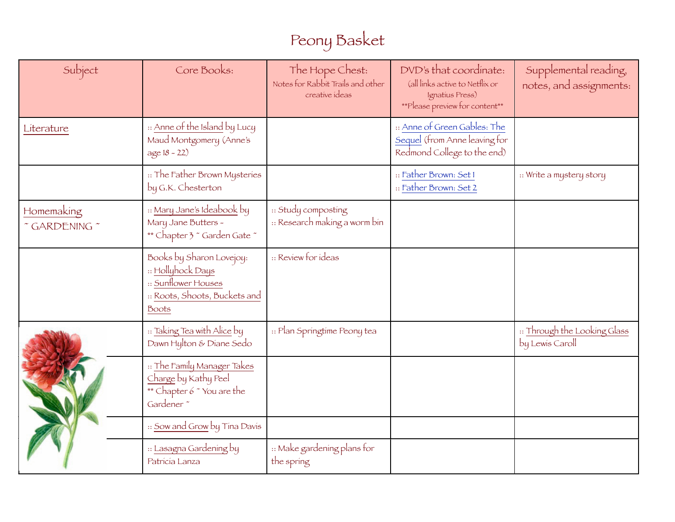## Peony Basket

| Subject                                     | Core Books:                                                                                                           | The Hope Chest:<br>Notes for Rabbit Trails and other<br>creative ideas | DVD's that coordinate:<br>(all links active to Netflix or<br>Ignatius Press)<br>**Please preview for content** | Supplemental reading,<br>notes, and assignments: |
|---------------------------------------------|-----------------------------------------------------------------------------------------------------------------------|------------------------------------------------------------------------|----------------------------------------------------------------------------------------------------------------|--------------------------------------------------|
| Literature                                  | :: Anne of the Island by Lucy<br>Maud Montgomery (Anne's<br>$age 18 - 22)$                                            |                                                                        | :: Anne of Green Gables: The<br>Sequel (from Anne leaving for<br>Redmond College to the end)                   |                                                  |
|                                             | :: The Father Brown Mysteries<br>by G.K. Chesterton                                                                   |                                                                        | :: Father Brown: Set I<br>:: Father Brown: Set 2                                                               | :: Write a mystery story                         |
| Homemaking<br>$\degree$ GARDENING $\degree$ | :: Mary Jane's Ideabook by<br>Mary Jane Butters -<br>** Chapter 3 ~ Garden Gate ~                                     | :: Study composting<br>:: Research making a worm bin                   |                                                                                                                |                                                  |
|                                             | Books by Sharon Lovejoy:<br>:: Hollyhock Days<br>:: Sunflower Houses<br>:: Roots, Shoots, Buckets and<br><b>Boots</b> | :: Review for ideas                                                    |                                                                                                                |                                                  |
|                                             | :: Taking Tea with Alice by<br>Dawn Hylton & Diane Sedo                                                               | :: Plan Springtime Peony tea                                           |                                                                                                                | :: Through the Looking Glass<br>by Lewis Caroll  |
|                                             | :: The Family Manager Takes<br>Charge by Kathy Peel<br>** Chapter 6 ~ You are the<br>Gardener <sup>*</sup>            |                                                                        |                                                                                                                |                                                  |
|                                             | :: Sow and Grow by Tina Davis                                                                                         |                                                                        |                                                                                                                |                                                  |
|                                             | :: Lasagna Gardening by<br>Patricia Lanza                                                                             | :: Make gardening plans for<br>the spring                              |                                                                                                                |                                                  |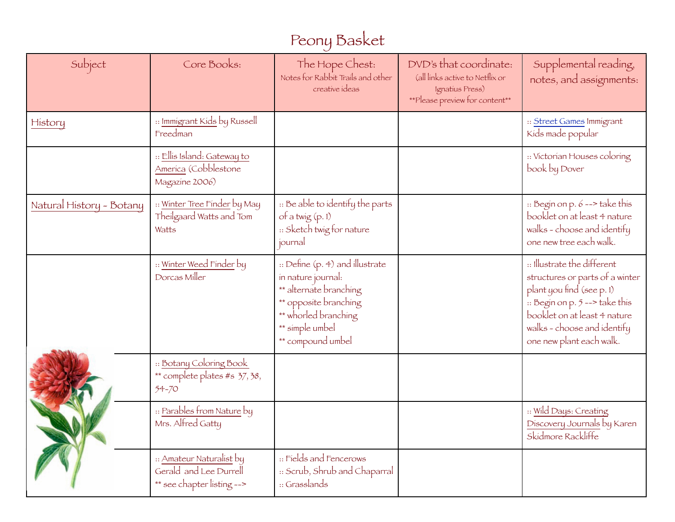## Peony Basket

| Subject                  | Core Books:                                                                      | The Hope Chest:<br>Notes for Rabbit Trails and other<br>creative ideas                                                                                                   | DVD's that coordinate:<br>(all links active to Netflix or<br>Ignatius Press)<br>**Please preview for content** | Supplemental reading,<br>notes, and assignments:                                                                                                                                                                        |
|--------------------------|----------------------------------------------------------------------------------|--------------------------------------------------------------------------------------------------------------------------------------------------------------------------|----------------------------------------------------------------------------------------------------------------|-------------------------------------------------------------------------------------------------------------------------------------------------------------------------------------------------------------------------|
| History                  | :: Immigrant Kids by Russell<br>Freedman                                         |                                                                                                                                                                          |                                                                                                                | :: Street Games Immigrant<br>Kíds made popular                                                                                                                                                                          |
|                          | :: Ellis Island: Gateway to<br>America (Cobblestone<br>Magazine 2006)            |                                                                                                                                                                          |                                                                                                                | :: Victorian Houses coloring<br>book by Dover                                                                                                                                                                           |
| Natural History - Botany | :: Winter Tree Finder by May<br>Theilgaard Watts and Tom<br>Watts                | : Be able to identify the parts<br>of a twig $(p, 1)$<br>:: Sketch twig for nature<br>journal                                                                            |                                                                                                                | :: Begin on p. 6 --> take this<br>booklet on at least 4 nature<br>walks - choose and identify<br>one new tree each walk.                                                                                                |
|                          | :: Winter Weed Finder by<br>Dorcas Miller                                        | :: Define (p. 4) and illustrate<br>in nature journal:<br>** alternate branching<br>** opposite branching<br>** whorled branching<br>** simple umbel<br>** compound umbel |                                                                                                                | :: Illustrate the different<br>structures or parts of a winter<br>plant you find (see p. 1)<br>: Begin on p. 5 --> take this<br>booklet on at least 4 nature<br>walks - choose and identify<br>one new plant each walk. |
|                          | :: Botany Coloring Book<br>** complete plates #s 37, 38,<br>$54 - 70$            |                                                                                                                                                                          |                                                                                                                |                                                                                                                                                                                                                         |
|                          | :: Parables from Nature by<br>Mrs. Alfred Gatty                                  |                                                                                                                                                                          |                                                                                                                | :: Wild Days: Creating<br>Discovery Journals by Karen<br>Skidmore Rackliffe                                                                                                                                             |
|                          | :: Amateur Naturalist by<br>Gerald and Lee Durrell<br>** see chapter listing --> | :: Fields and Fencerows<br>:: Scrub, Shrub and Chaparral<br>:: Grasslands                                                                                                |                                                                                                                |                                                                                                                                                                                                                         |